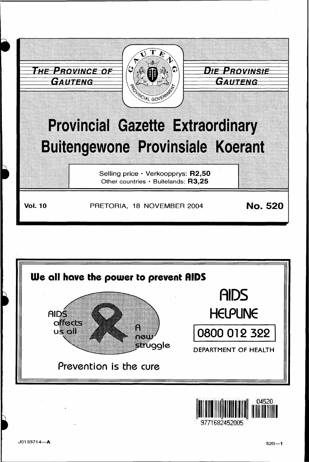



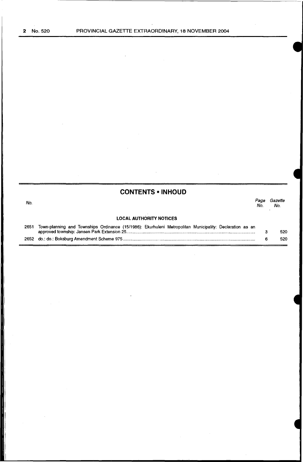$\overline{\phantom{a}}$ 

 $\bar{t}$ 

|      | <b>CONTENTS • INHOUD</b>                                                                                 |             |                |
|------|----------------------------------------------------------------------------------------------------------|-------------|----------------|
| No.  |                                                                                                          | Page<br>No. | Gazette<br>No. |
|      | <b>LOCAL AUTHORITY NOTICES</b>                                                                           |             |                |
| 2651 | Town-planning and Townships Ordinance (15/1986): Ekurhuleni Metropolitan Municipality: Declaration as an |             | 520            |
| 2652 |                                                                                                          | 6           | 520            |
|      |                                                                                                          |             |                |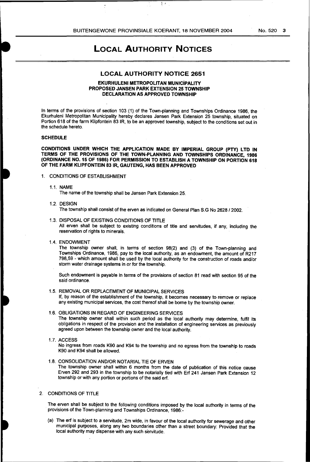$\mathfrak{z}$  ;

No. 520 3

# **LOCAL AUTHORITY NOTICES**

## **LOCAL AUTHORITY NOTICE 2651**

#### **EKURHULENI METROPOLITAN MUNICiPALITY PROPOSED JANSEN PARK EXTENSION 25 TOWNSHIP DECLARATION AS APPROVED TOWNSHIP**

In terms of the provisions of section 103 (1) of the Town-planning and Townships Ordinance 1986, the Ekurhuleni Metropolitan Municipality hereby declares Jansen Park Extension 25 township, situated on Portion 618 of the farm Klipfontein 83 IR, to be an approved township, subject to the conditions set out in the schedule hereto.

#### **SCHEDULE**

**CONDITIONS UNDER WHICH THE APPLICATION MADE BY IMPERIAL GROUP (PTY) L TO IN TERMS OF THE PROVISIONS OF THE TOWN-PLANNING AND TOWNSHIPS ORDINANCE, 1986 (ORDINANCE N0.15 OF 1986) FOR PERMISSION TO ESTABLISH A TOWNSHIP ON PORTION 618 OF THE FARM KLIPFONTEIN 83** IR, **GAUTENG, HAS BEEN APPROVED** 

## 1. CONDITIONS OF ESTABLISHMENT

1.1. NAME

The name of the township shall be Jansen Park Extension 25.

- 1.2. DESIGN The township shall consist of the erven as indicated on General Plan S.G No 2628/2002.
- 1.3. DISPOSAL OF EXISTING CONDITIONS OF TITLE

All erven shall be subject to existing conditions of title and servitudes, if any, including the reservation of rights to minerals.

1.4. ENDOWMENT

The township owner shall, in terms of section 98(2) and (3) of the Town-planning and Townships Ordinance, 1986, pay to the local authority, as an endowment, the amount of R217 798,59- which amount shall be used by the local authority for the construction of roads and/or storm water drainage systems in or for the township.

Such endowment is payable in terms of the provisions of section 81 read with section 95 of the said ordinance.

1.5. REMOVAL OR REPLACEMENT OF MUNICIPAL SERVICES

If, by reason of the establishment of the township, it becomes necessary to remove or replace any existing municipal services, the cost thereof shall be borne by the township owner.

#### 1.6. OBLIGATIONS IN REGARD OF ENGINEERING SERVICES

The township owner shall within such period as the local authority may determine, fulfil its obligations in respect of the provision and the installation of engineering services as previously agreed upon between the township owner and the local authority.

1.7. ACCESS

No ingress from roads K90 and K94 to the township and no egress from the township to roads K90 and K94 shall be allowed.

1.8. CONSOLIDATION AND/OR NOTARIAL TIE OF ERVEN

The township owner shall within 6 months from the date of publication of this notice cause Erven 292 and 293 in the township to be notarially tied with Erf 241 Jansen Park Extension 12 township or with any portion or portions of the said erf.

#### 2. CONDITIONS OF TITLE

The erven shall be subject to the following conditions imposed by the local authority in terms of the provisions of the Town-planning and Townships Ordinance, 1986:-

(a) The erf is subject to a servitude, 2m wide, in favour of the local authority for sewerage and other municipal purposes, along any two boundaries other than a street boundary: Provided that the local authority may dispense with any such servitude.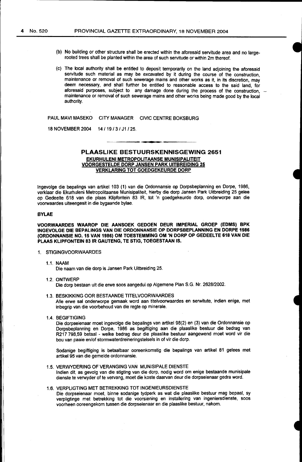- (b) No building or other structure shall be erected within the aforesaid servitude area and no largerooted trees shall be planted within the area of such servitude or within 2m thereof.
- (c) The local authority shall be entitled to deposit temporarily on the land adjoining the aforesaid servitude such material as may be excavated by it during the course of the construction. maintenance or removal of such sewerage mains and other works as it, in its discretion, may deem necessary, and shall further be entitled to reasonable access to the said land for aforesaid purposes, subject to any damage done during the process of the construction, maintenance or removal of such sewerage mains and other works being made good by the local authority.

PAUL MAVI MASEKO CITY MANAGER CIVIC CENTRE BOKSBURG

18 NOVEMBER 2004 14/19/3/ J1/25.

## PLAASLIKE BESTUURSKENNISGEWING 2651 EKURHULENI METROPOLITAANSE MUNISIPALITEIT VOORGESTELDE DORP JANSEN PARK UITBREIDING 25 VERKLARING TOT GOEDGEKEURDE DORP

lngevolge die bepalings van artikel 103 (1) van die Ordonnansie op Dorpsbeplanning en Dorpe, 1986, verklaar die Ekurhuleni Metropolitaanse Munisipaliteit, hierby die dorp Jansen Park Uitbreiding 25 galee op Gedeelte 618 van die plaas Klipfontein 83 IR, tot 'n goedgekeurde dorp, onderworpe aan die voorwaardes uiteengesit in die bygaande bylae.

#### BYLAE

VOORWMRDES WMROP DIE MNSOEK GEDOEN DEUR IMPERIAL GROEP (EDMS) BPK INGEVOLGE DIE BEPALINGS VAN DIE ORDONNANSIE OP DORPSBEPLANNING EN DORPE 1986 (ORDONNANSIE N0.15 VAN 1986) OM TOESTEMMING OM 'N DORP OP GEDEELTE 618 VAN DIE PLAAS KLIPFONTEIN 83 IR GAUTENG, TE STIG, TOEGESTAAN IS.

#### 1. STIGINGVOORWAARDES

1.1. NAAM

Die naam van die dorp is Jansen Park Uitbreiding 25.

- 1.2. ONTWERP Die dorp bestaan uit die erwe soos aangedui op Algemene Plan S.G. Nr. 2628/2002.
- 1.3. BESKIKKING OOR BESTAANDE TITELVOORWAARDES Aile erwe sal onderworpe gemaak word aan titelvoorwaardes en serwitute, indien enige, met inbegrip van die voorbehoud van die regte op minerale.
- 1.4. BEGIFTIGING

Die dorpseienaar moet ingevolge die bepalings van artikel 98(2) en (3) van die Ordonnansie op Dorpsbeplanning en Dorpe, 1986 as begiftiging aan die plaaslike bestuur die bedrag van R217 798,59 betaal - welke bedrag deur die plaaslike bestuur aangewend moet word vir die bou van paaie en/of stormwaterdreineringstelsels in of vir die dorp.

Sodanige begiftiging is betaalbaar ooreenkomstig die bepalings van artikel 81 gelees met artikel 95 van die gemelde ordonnansie.

- 1.5. VERWYDERING OF VERANGING VAN MUNISIPALE DIENSTE lndien dit, as gevolg van die stigting van die dorp, nodig word om enige bestaande munisipale dienste te verwyder of te vervang, moet die koste daarvan deur die dorpseienaar gedra word.
- 1.6. VERPUGTING MET BETREKKING TOT INGENIEURSDIENSTE Die dorpseienaar moet, binne sodanige tydperk as wat die plaaslike bestuur mag bepaal, sy verpligtinge met betrekking tot die voorsiening en installering van ingeniersdienste, soos voorheen ooreengekom tussen die dorpseienaar en die plaaslike bestuur, nakom.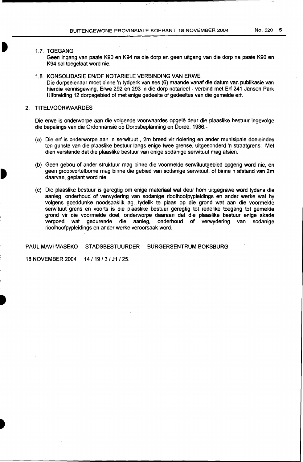## 1.7. TOEGANG

Geen ingang van paaie K90 en K94 na die dorp en geen uitgang van die dorp na paaie K90 en K94 sal toegelaat word nie.

#### 1.8. KONSOLIDASIE EN/OF NOTARIELE VERBINDING VAN ERWE

Die dorpseienaar moet binne 'n tydperk van ses (6) maande vanaf die datum van publikasie van hierdie kennisgewing, Erwe 292 en 293 in die dorp notarieel - verbind met Erf 241 Jansen Park Uitbreiding 12 dorpsgebied of met enige gedeelte of gedeeltes van die gemelde erf.

## 2. TITELVOORWAARDES

Die erwe is onderworpe aan die volgende voorwaardes opgelê deur die plaaslike bestuur ingevolge die bepalings van die Ordonnansie op Dorpsbeplanning en Dorpe, 1986:-

- (a) Die erf is onderworpe aan 'n serwituut , 2m breed vir riolering en ander munisipale doeleindes ten gunste van die plaaslike bestuur langs enige twee grense, uitgesonderd 'n straatgrens: Met dien verstande dat die plaaslike bestuur van enige sodanige serwituut mag afsien.
- (b) Geen gebou of ander struktuur mag binne die voormelde serwituutgebied opgerig word nie, en geen grootwortelbome mag binne die gebied van sodanige serwituut, of binne n afstand van 2m daarvan, geplant word nie.
- (c) Die plaaslike bestuur is geregtig om enige materiaal wat deur hom uitgegrawe word tydens die aanleg, onderhoud of verwydering van sodanige rioolhoofpypleidings en ander werke wat hy volgens goeddunke noodsaaklik ag, tydelik te plaas op die grond wat aan die voormelde serwituut grens en voorts is die plaaslike bestuur geregtig tot redelike toegang tot gemelde grond vir die voormelde doel, onderworpe daaraan dat die plaaslike bestuur enige skade<br>vergoed wat gedurende die aanleg, onderhoud of verwydering van sodanige onderhoud of verwydering van sodanige rioolhoofpypleidings en ander werke veroorsaak word.

PAUL MAVI MASEKO STADSBESTUURDER BURGERSENTRUM BOKSBURG

18 NOVEMBER 2004 14/19/3/ J1/25.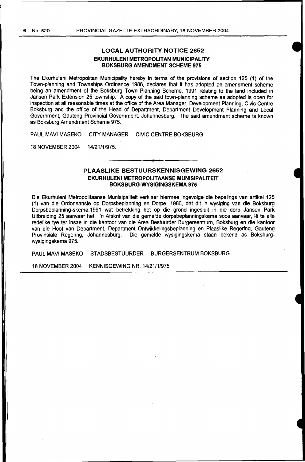## **LOCAL AUTHORITY NOTICE 2652 EKURHULENI METROPOLITAN MUNICIPALITY BOKSBURG AMENDMENT SCHEME 975**

The Ekurhuleni Metropolitan Municipality hereby in terms of the provisions of section 125 (1) of the Town-planning and Townships Ordinance 1986, declares that it has adopted an amendment scheme being an amendment of the Boksburg Town Planning Scheme, 1991 relating to the land included in Jansen Park Extension 25 township. A copy of the said town-planning scheme as adopted is open for inspection at all reasonable times at the office of the Area Manager, Development Planning, Civic Centre Boksburg and the office of the Head of Department, Department Development Planning and Local Government, Gauteng Provincial Government, Johannesburg. The said amendment scheme is known as Boksburg Amendment Scheme 975.

PAUL MAVI MASEKO CITY MANAGER CIVIC CENTRE BOKSBURG

18 NOVEMBER 2004 14/21/1/975.

## **PLAASLIKE BESTUURSKENNISGEWING 2652 EKURHULENI METROPOLITAANSE MUNISIPALITEIT BOKSBURG-WYSIGINGSKEMA 975**

Die Ekurhuleni Metropolitaanse Munisipaliteit verklaar hiermee ingevolge die bepalings van artikel 125 (1) van die Ordonnansie op Dorpsbeplanning en Dorpe, 1986, dat dit 'n wysiging van die Boksburg Dorpsbeplanning-skema,1991 wat betrekking het op die grand ingesluit in die dorp Jansen Park Uitbreiding 25 aanvaar het. 'n Afskrif van die gemelde dorpsbeplanningskema soos aanvaar, lê te alle redelike tye ter insae in die kantoor van die Area Bestuurder Burgersentrum, Boksburg en die kantoor van die Hoof van Department, Department Ontwikkelingsbeplanning en Plaaslike Regering, Gauteng Provinsiale Regering, Johannesburg. Die gemelde wysigingskema staan bekend as Boksburgwysigingskema 975.

PAUL MAVI MASEKO STADSBESTUURDER BURGERSENTRUM BOKSBURG

18 NOVEMBER 2004 KENNISGEWING NR. 14/21/1/975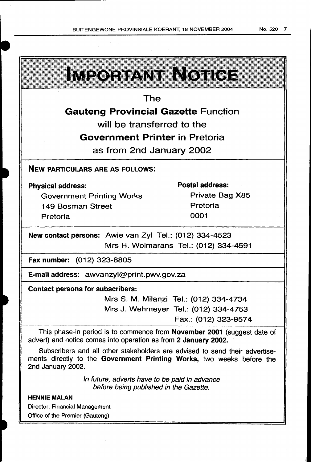|                                                        | <u>IMPORTANT NOTICE</u> |                                       |  |  |  |
|--------------------------------------------------------|-------------------------|---------------------------------------|--|--|--|
| The                                                    |                         |                                       |  |  |  |
| <b>Gauteng Provincial Gazette Function</b>             |                         |                                       |  |  |  |
| will be transferred to the                             |                         |                                       |  |  |  |
| <b>Government Printer in Pretoria</b>                  |                         |                                       |  |  |  |
| as from 2nd January 2002                               |                         |                                       |  |  |  |
| <b>NEW PARTICULARS ARE AS FOLLOWS:</b>                 |                         |                                       |  |  |  |
| <b>Physical address:</b>                               |                         | <b>Postal address:</b>                |  |  |  |
| <b>Government Printing Works</b>                       |                         | Private Bag X85                       |  |  |  |
| 149 Bosman Street                                      |                         | Pretoria                              |  |  |  |
| Pretoria                                               |                         | 0001                                  |  |  |  |
| New contact persons: Awie van Zyl Tel.: (012) 334-4523 |                         |                                       |  |  |  |
|                                                        |                         | Mrs H. Wolmarans Tel.: (012) 334-4591 |  |  |  |
| Fax number: (012) 323-8805                             |                         |                                       |  |  |  |
| E-mail address: awvanzyl@print.pwv.gov.za              |                         |                                       |  |  |  |
| <b>Contact persons for subscribers:</b>                |                         |                                       |  |  |  |
|                                                        |                         | Mrs S M Milanzi Tel (012) 334-4734    |  |  |  |

1. Milanzi Tel.: (U1 Mrs J. Wehmeyer Tel.: (012) 334-4753 Fax.: (012) 323-957 4

This phase-in period is to commence from November 2001 (suggest date of advert) and notice comes into operation as from 2 January 2002.

Subscribers and all other stakeholders are advised to send their advertisements directly to the Government Printing Works, two weeks before the 2nd January 2002.

> In future, adverts have to be paid in advance before being published in the Gazette.

## HENNIE MALAN

 $\blacksquare$  $~...$ 

> Director: Financial Management Office of the Premier (Gauteng)